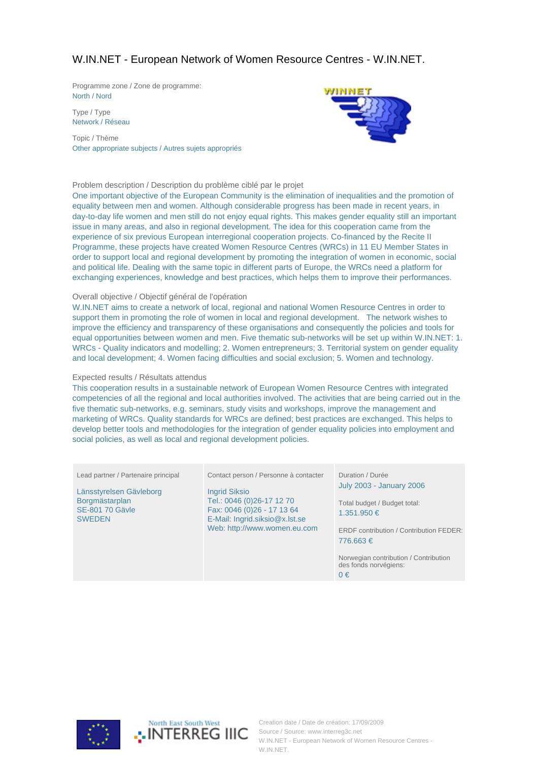# W.IN.NET - European Network of Women Resource Centres - W.IN.NET.

Programme zone / Zone de programme: North / Nord

Type / Type Network / Réseau

Topic / Thème Other appropriate subjects / Autres sujets appropriés



### Problem description / Description du problème ciblé par le projet

One important objective of the European Community is the elimination of inequalities and the promotion of equality between men and women. Although considerable progress has been made in recent years, in day-to-day life women and men still do not enjoy equal rights. This makes gender equality still an important issue in many areas, and also in regional development. The idea for this cooperation came from the experience of six previous European interregional cooperation projects. Co-financed by the Recite II Programme, these projects have created Women Resource Centres (WRCs) in 11 EU Member States in order to support local and regional development by promoting the integration of women in economic, social and political life. Dealing with the same topic in different parts of Europe, the WRCs need a platform for exchanging experiences, knowledge and best practices, which helps them to improve their performances.

#### Overall objective / Objectif général de l'opération

W.IN.NET aims to create a network of local, regional and national Women Resource Centres in order to support them in promoting the role of women in local and regional development. The network wishes to improve the efficiency and transparency of these organisations and consequently the policies and tools for equal opportunities between women and men. Five thematic sub-networks will be set up within W.IN.NET: 1. WRCs - Quality indicators and modelling; 2. Women entrepreneurs; 3. Territorial system on gender equality and local development; 4. Women facing difficulties and social exclusion; 5. Women and technology.

#### Expected results / Résultats attendus

This cooperation results in a sustainable network of European Women Resource Centres with integrated competencies of all the regional and local authorities involved. The activities that are being carried out in the five thematic sub-networks, e.g. seminars, study visits and workshops, improve the management and marketing of WRCs. Quality standards for WRCs are defined; best practices are exchanged. This helps to develop better tools and methodologies for the integration of gender equality policies into employment and social policies, as well as local and regional development policies.

| Lead partner / Partenaire principal                                                  | Contact person / Personne à contacter                                                                                                             | Duration / Durée                                                                                                                                                                                                   |
|--------------------------------------------------------------------------------------|---------------------------------------------------------------------------------------------------------------------------------------------------|--------------------------------------------------------------------------------------------------------------------------------------------------------------------------------------------------------------------|
| Länsstyrelsen Gävleborg<br>Borgmästarplan<br><b>SE-801 70 Gäyle</b><br><b>SWEDEN</b> | <b>Ingrid Siksio</b><br>Tel.: 0046 (0)26-17 12 70<br>Fax: 0046 (0)26 - 17 13 64<br>E-Mail: Ingrid.siksio@x.lst.se<br>Web: http://www.women.eu.com | <b>July 2003 - January 2006</b><br>Total budget / Budget total:<br>1.351.950 €<br>ERDF contribution / Contribution FEDER:<br>776.663€<br>Norwegian contribution / Contribution<br>des fonds norvégiens:<br>$0 \in$ |

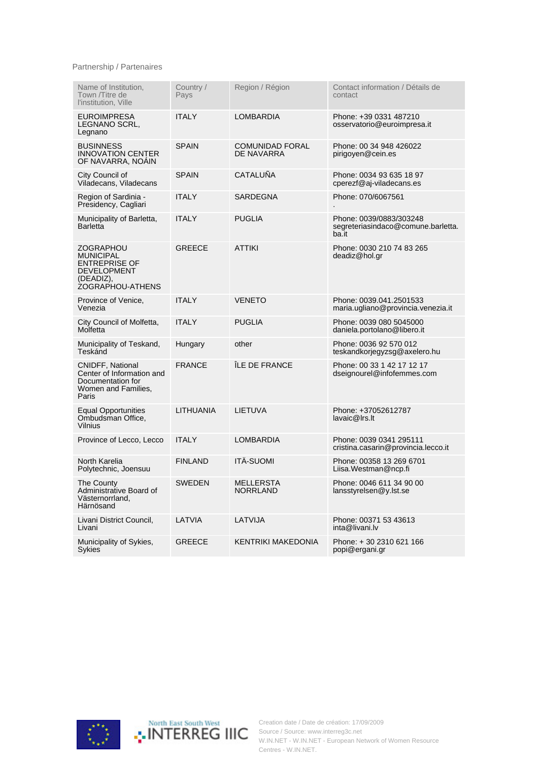## Partnership / Partenaires

| Name of Institution,<br>Town /Titre de<br>l'institution, Ville                                                      | Country /<br>Pays | Region / Région                      | Contact information / Détails de<br>contact                            |
|---------------------------------------------------------------------------------------------------------------------|-------------------|--------------------------------------|------------------------------------------------------------------------|
| <b>EUROIMPRESA</b><br>LEGNANO SCRL,<br>Legnano                                                                      | <b>ITALY</b>      | LOMBARDIA                            | Phone: +39 0331 487210<br>osservatorio@euroimpresa.it                  |
| <b>BUSINNESS</b><br><b>INNOVATION CENTER</b><br>OF NAVARRA, NOAIN                                                   | <b>SPAIN</b>      | <b>COMUNIDAD FORAL</b><br>DE NAVARRA | Phone: 00 34 948 426022<br>pirigoyen@cein.es                           |
| City Council of<br>Viladecans, Viladecans                                                                           | <b>SPAIN</b>      | <b>CATALUÑA</b>                      | Phone: 0034 93 635 18 97<br>cperezf@aj-viladecans.es                   |
| Region of Sardinia -<br>Presidency, Cagliari                                                                        | <b>ITALY</b>      | SARDEGNA                             | Phone: 070/6067561                                                     |
| Municipality of Barletta,<br><b>Barletta</b>                                                                        | <b>ITALY</b>      | <b>PUGLIA</b>                        | Phone: 0039/0883/303248<br>segreteriasindaco@comune.barletta.<br>ba.it |
| ZOGRAPHOU<br><b>MUNICIPAL</b><br><b>ENTREPRISE OF</b><br><b>DEVELOPMENT</b><br>(DEADIZ),<br><b>ŻOGRAPHOU-ATHENS</b> | <b>GREECE</b>     | <b>ATTIKI</b>                        | Phone: 0030 210 74 83 265<br>deadiz@hol.gr                             |
| Province of Venice,<br>Venezia                                                                                      | <b>ITALY</b>      | <b>VENETO</b>                        | Phone: 0039.041.2501533<br>maria.ugliano@provincia.venezia.it          |
| City Council of Molfetta,<br>Molfetta                                                                               | <b>ITALY</b>      | <b>PUGLIA</b>                        | Phone: 0039 080 5045000<br>daniela.portolano@libero.it                 |
| Municipality of Teskand,<br>Teskánd                                                                                 | Hungary           | other                                | Phone: 0036 92 570 012<br>teskandkorjegyzsg@axelero.hu                 |
| <b>CNIDFF, National</b><br>Center of Information and<br>Documentation for<br>Women and Families,<br>Paris           | <b>FRANCE</b>     | ÎLE DE FRANCE                        | Phone: 00 33 1 42 17 12 17<br>dseignourel@infofemmes.com               |
| <b>Equal Opportunities</b><br>Ombudsman Office,<br><b>Vilnius</b>                                                   | <b>LITHUANIA</b>  | LIETUVA                              | Phone: +37052612787<br>lavaic@lrs.lt                                   |
| Province of Lecco, Lecco                                                                                            | <b>ITALY</b>      | LOMBARDIA                            | Phone: 0039 0341 295111<br>cristina.casarin@provincia.lecco.it         |
| North Karelia<br>Polytechnic, Joensuu                                                                               | <b>FINLAND</b>    | <b>ITÄ-SUOMI</b>                     | Phone: 00358 13 269 6701<br>Liisa. Westman@ncp.fi                      |
| The County<br>Administrative Board of<br>Västernorrland.<br>Härnösand                                               | SWEDEN            | MELLERSTA<br><b>NORRLAND</b>         | Phone: 0046 611 34 90 00<br>lansstyrelsen@y.lst.se                     |
| Livani District Council,<br>Livani                                                                                  | LATVIA            | LATVIJA                              | Phone: 00371 53 43613<br>inta@livani.lv                                |
| Municipality of Sykies,<br><b>Sykies</b>                                                                            | <b>GREECE</b>     | <b>KENTRIKI MAKEDONIA</b>            | Phone: +30 2310 621 166<br>popi@ergani.gr                              |